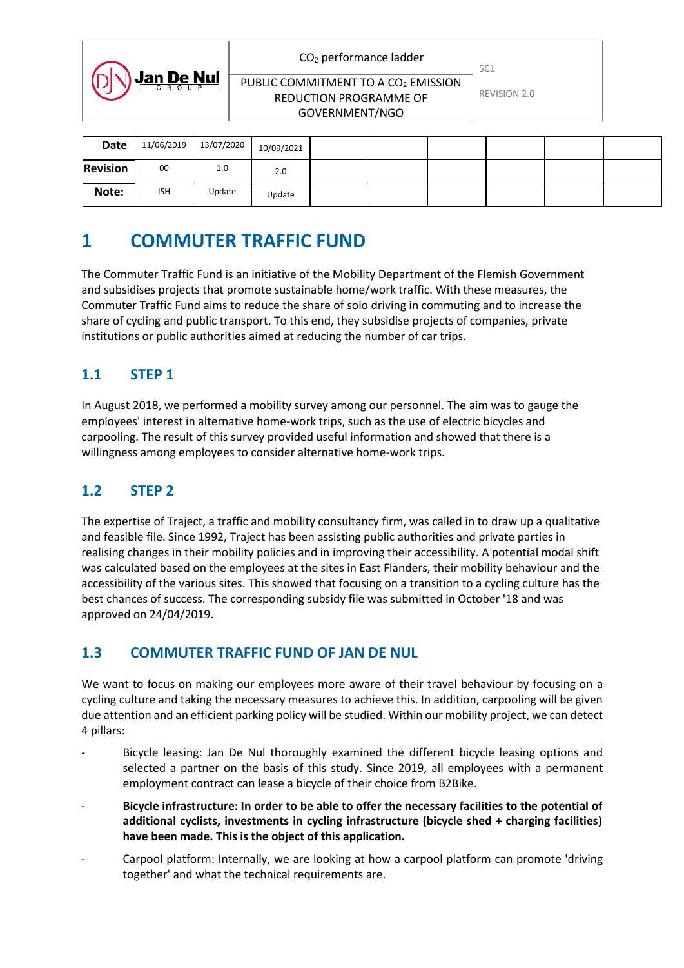|                   | $CO2$ performance ladder                                                                    | 5C1          |  |
|-------------------|---------------------------------------------------------------------------------------------|--------------|--|
| <b>Jan De Nul</b> | PUBLIC COMMITMENT TO A CO <sub>2</sub> EMISSION<br>REDUCTION PROGRAMME OF<br>GOVERNMENT/NGO | REVISION 2.0 |  |
|                   |                                                                                             |              |  |

| Date            | 11/06/2019 | 13/07/2020 | 10/09/2021 |  |  |  |
|-----------------|------------|------------|------------|--|--|--|
| <b>Revision</b> | 00         | 1.0        | 2.0        |  |  |  |
| Note:           | <b>ISH</b> | Update     | Update     |  |  |  |

## **1 COMMUTER TRAFFIC FUND**

The Commuter Traffic Fund is an initiative of the Mobility Department of the Flemish Government and subsidises projects that promote sustainable home/work traffic. With these measures, the Commuter Traffic Fund aims to reduce the share of solo driving in commuting and to increase the share of cycling and public transport. To this end, they subsidise projects of companies, private institutions or public authorities aimed at reducing the number of car trips.

## **1.1 STEP 1**

In August 2018, we performed a mobility survey among our personnel. The aim was to gauge the employees' interest in alternative home-work trips, such as the use of electric bicycles and carpooling. The result of this survey provided useful information and showed that there is a willingness among employees to consider alternative home-work trips.

## **1.2 STEP 2**

The expertise of Traject, a traffic and mobility consultancy firm, was called in to draw up a qualitative and feasible file. Since 1992, Traject has been assisting public authorities and private parties in realising changes in their mobility policies and in improving their accessibility. A potential modal shift was calculated based on the employees at the sites in East Flanders, their mobility behaviour and the accessibility of the various sites. This showed that focusing on a transition to a cycling culture has the best chances of success. The corresponding subsidy file was submitted in October '18 and was approved on 24/04/2019.

## **1.3 COMMUTER TRAFFIC FUND OF JAN DE NUL**

We want to focus on making our employees more aware of their travel behaviour by focusing on a cycling culture and taking the necessary measures to achieve this. In addition, carpooling will be given due attention and an efficient parking policy will be studied. Within our mobility project, we can detect 4 pillars:

- Bicycle leasing: Jan De Nul thoroughly examined the different bicycle leasing options and selected a partner on the basis of this study. Since 2019, all employees with a permanent employment contract can lease a bicycle of their choice from B2Bike.
- **Bicycle infrastructure: In order to be able to offer the necessary facilities to the potential of additional cyclists, investments in cycling infrastructure (bicycle shed + charging facilities) have been made. This is the object of this application.**
- Carpool platform: Internally, we are looking at how a carpool platform can promote 'driving together' and what the technical requirements are.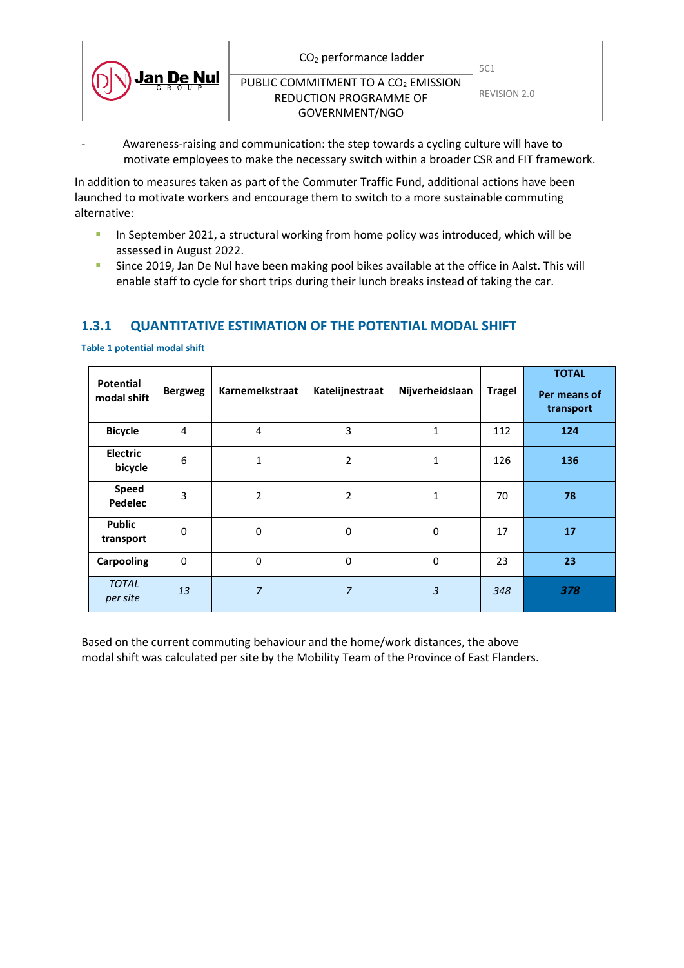|            | $CO2$ performance ladder                        | 5C1          |
|------------|-------------------------------------------------|--------------|
| Jan De Nul | PUBLIC COMMITMENT TO A CO <sub>2</sub> EMISSION |              |
|            | REDUCTION PROGRAMME OF                          | REVISION 2.0 |
|            | GOVERNMENT/NGO                                  |              |

Awareness-raising and communication: the step towards a cycling culture will have to motivate employees to make the necessary switch within a broader CSR and FIT framework.

In addition to measures taken as part of the Commuter Traffic Fund, additional actions have been launched to motivate workers and encourage them to switch to a more sustainable commuting alternative:

- In September 2021, a structural working from home policy was introduced, which will be assessed in August 2022.
- Since 2019, Jan De Nul have been making pool bikes available at the office in Aalst. This will enable staff to cycle for short trips during their lunch breaks instead of taking the car.

### **1.3.1 QUANTITATIVE ESTIMATION OF THE POTENTIAL MODAL SHIFT**

| <b>Potential</b><br>modal shift | <b>Bergweg</b> | Karnemelkstraat | Katelijnestraat | Nijverheidslaan | <b>Tragel</b> | <b>TOTAL</b><br>Per means of<br>transport |
|---------------------------------|----------------|-----------------|-----------------|-----------------|---------------|-------------------------------------------|
| <b>Bicycle</b>                  | 4              | 4               | 3               | 1               | 112           | 124                                       |
| <b>Electric</b><br>bicycle      | 6              | 1               | 2               | 1               | 126           | 136                                       |
| <b>Speed</b><br>Pedelec         | 3              | $\overline{2}$  | $\overline{2}$  | 1               | 70            | 78                                        |
| <b>Public</b><br>transport      | $\Omega$       | 0               | $\mathbf 0$     | 0               | 17            | 17                                        |
| <b>Carpooling</b>               | $\mathbf 0$    | 0               | $\mathbf 0$     | 0               | 23            | 23                                        |
| <b>TOTAL</b><br>per site        | 13             | $\overline{7}$  | $\overline{7}$  | 3               | 348           | 378                                       |

**Table 1 potential modal shift**

Based on the current commuting behaviour and the home/work distances, the above modal shift was calculated per site by the Mobility Team of the Province of East Flanders.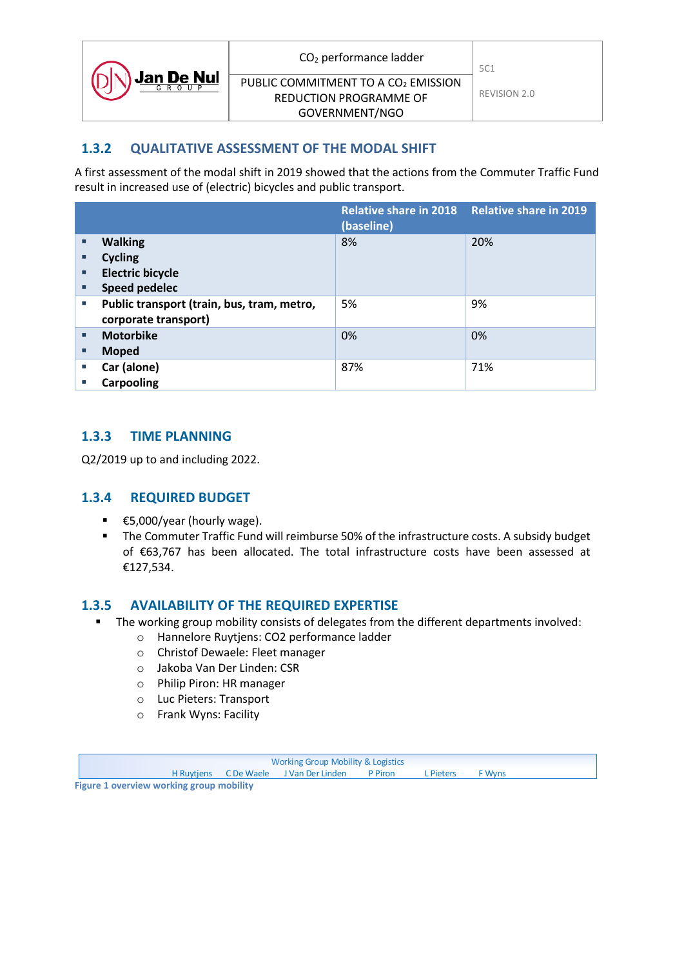|            | $CO2$ performance ladder                        | 5C1          |
|------------|-------------------------------------------------|--------------|
| Jan De Nul | PUBLIC COMMITMENT TO A CO <sub>2</sub> EMISSION |              |
|            | REDUCTION PROGRAMME OF                          | REVISION 2.0 |
|            | GOVERNMENT/NGO                                  |              |

### **1.3.2 QUALITATIVE ASSESSMENT OF THE MODAL SHIFT**

A first assessment of the modal shift in 2019 showed that the actions from the Commuter Traffic Fund result in increased use of (electric) bicycles and public transport.

|        |                                            | Relative share in 2018 Relative share in 2019<br>(baseline) |     |
|--------|--------------------------------------------|-------------------------------------------------------------|-----|
| п      | <b>Walking</b>                             | 8%                                                          | 20% |
| □      | <b>Cycling</b>                             |                                                             |     |
| п      | <b>Electric bicycle</b>                    |                                                             |     |
| п      | <b>Speed pedelec</b>                       |                                                             |     |
| $\Box$ | Public transport (train, bus, tram, metro, | 5%                                                          | 9%  |
|        | corporate transport)                       |                                                             |     |
| п      | <b>Motorbike</b>                           | 0%                                                          | 0%  |
| п      | <b>Moped</b>                               |                                                             |     |
| u.     | Car (alone)                                | 87%                                                         | 71% |
| m.     | <b>Carpooling</b>                          |                                                             |     |

#### **1.3.3 TIME PLANNING**

Q2/2019 up to and including 2022.

#### **1.3.4 REQUIRED BUDGET**

- €5,000/year (hourly wage).
- **The Commuter Traffic Fund will reimburse 50% of the infrastructure costs. A subsidy budget** of €63,767 has been allocated. The total infrastructure costs have been assessed at €127,534.

#### **1.3.5 AVAILABILITY OF THE REQUIRED EXPERTISE**

- **The working group mobility consists of delegates from the different departments involved:** 
	- o Hannelore Ruytjens: CO2 performance ladder
		- o Christof Dewaele: Fleet manager
		- o Jakoba Van Der Linden: CSR
		- o Philip Piron: HR manager
		- o Luc Pieters: Transport
		- o Frank Wyns: Facility

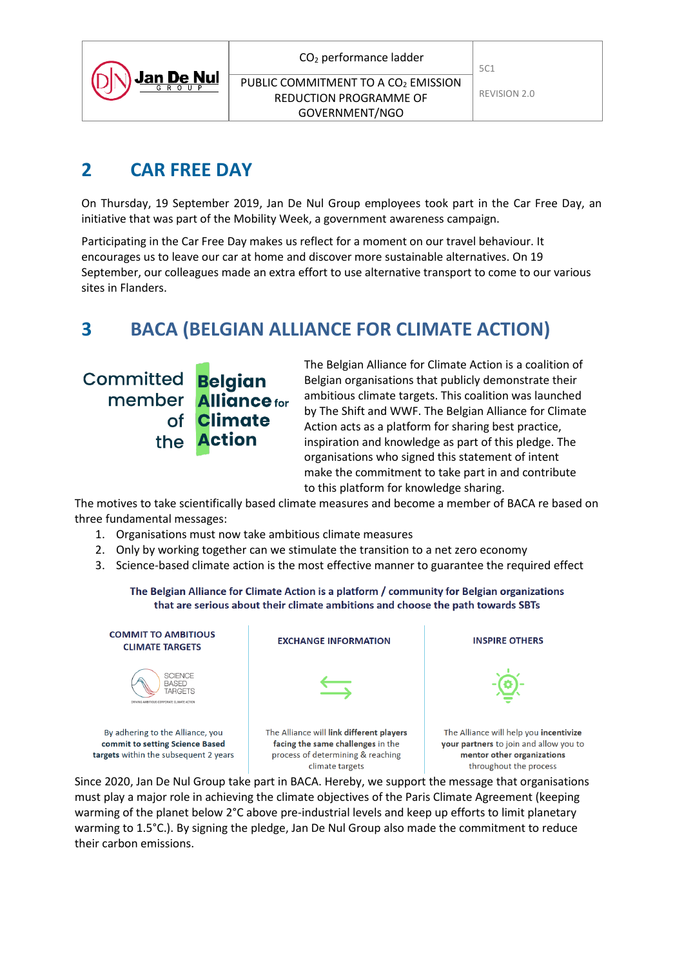|  | CO <sub>2</sub> performance ladder |  |
|--|------------------------------------|--|
|--|------------------------------------|--|

# **2 CAR FREE DAY**

On Thursday, 19 September 2019, Jan De Nul Group employees took part in the Car Free Day, an initiative that was part of the Mobility Week, a government awareness campaign.

Participating in the Car Free Day makes us reflect for a moment on our travel behaviour. It encourages us to leave our car at home and discover more sustainable alternatives. On 19 September, our colleagues made an extra effort to use alternative transport to come to our various sites in Flanders.

# **3 BACA (BELGIAN ALLIANCE FOR CLIMATE ACTION)**

Committed Belgian member **Alliance** for **Climate of Action** the

The Belgian Alliance for Climate Action is a coalition of Belgian organisations that publicly demonstrate their ambitious climate targets. This coalition was launched by The Shift and WWF. The Belgian Alliance for Climate Action acts as a platform for sharing best practice, inspiration and knowledge as part of this pledge. The organisations who signed this statement of intent make the commitment to take part in and contribute to this platform for knowledge sharing.

The motives to take scientifically based climate measures and become a member of BACA re based on three fundamental messages:

- 1. Organisations must now take ambitious climate measures
- 2. Only by working together can we stimulate the transition to a net zero economy
- 3. Science-based climate action is the most effective manner to guarantee the required effect

#### The Belgian Alliance for Climate Action is a platform / community for Belgian organizations that are serious about their climate ambitions and choose the path towards SBTs

## **COMMIT TO AMBITIOUS CLIMATE TARGETS**



By adhering to the Alliance, you commit to setting Science Based targets within the subsequent 2 years *EXCHANGE INFORMATION* 



climate targets

**INSPIRE OTHERS** 



The Alliance will help you incentivize your partners to join and allow you to mentor other organizations throughout the process

Since 2020, Jan De Nul Group take part in BACA. Hereby, we support the message that organisations must play a major role in achieving the climate objectives of the Paris Climate Agreement (keeping warming of the planet below 2°C above pre-industrial levels and keep up efforts to limit planetary warming to 1.5°C.). By signing the pledge, Jan De Nul Group also made the commitment to reduce their carbon emissions.